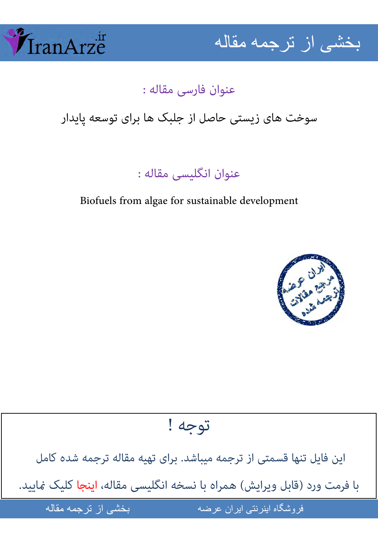



## عنوان فارسی مقاله :

سوخت های زیستی حاصل از جلبک ها برای توسعه پایدار

عنوان انگلیسی مقاله :

Biofuels from algae for sustainable development



توجه !

[این فایل تنها قسمتی از ترجمه میباشد. برای تهیه مقاله ترجمه شده کامل](http://iranarze.ir/biofuels+algae+sustainable+development)  با فرمت ورد (قابل ویرایش) همراه با نسخه انگلیسی مقاله، اینجا کلیک غایید.

 از ر- -

فروشگاه اینرنتی ایران عرضه